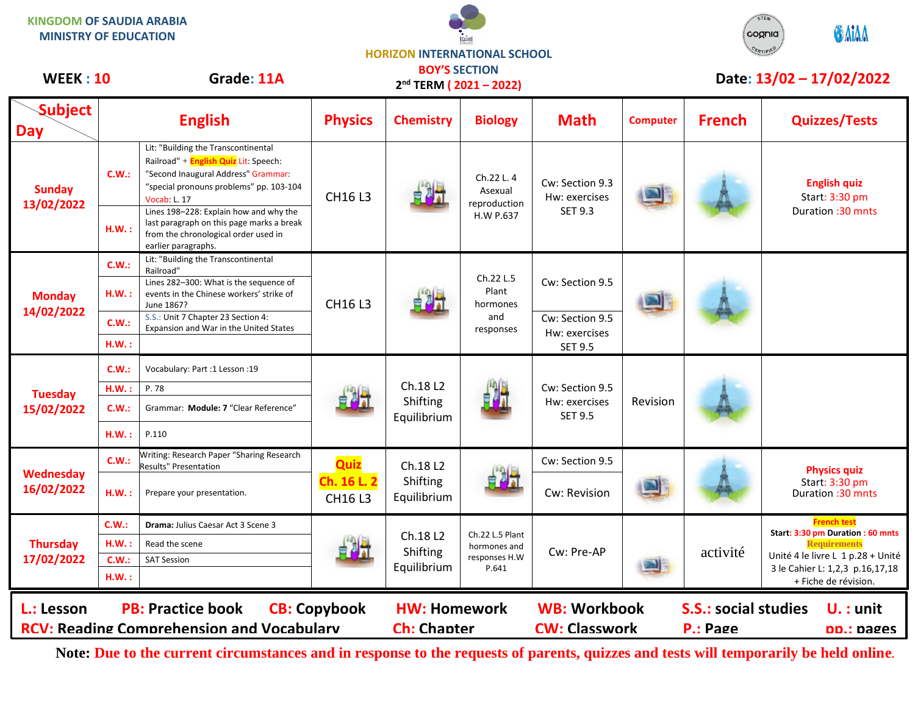**KINGDOM OF SAUDIA ARABIA MINISTRY OF EDUCATION**





## **Subject Day English Physics Chemistry Biology Math Computer French Quizzes/Tests Sunday 13/02/2022 C.W.:** Lit: "Building the Transcontinental Railroad" + **English Quiz** Lit: Speech: "Second Inaugural Address" Grammar: "special pronouns problems" pp. 103-104 Vocab: L. 17 **CH16 L3** Ch.22 L. 4 Asexual reproduction H.W P.637 Cw: Section 9.3 Hw: exercises SET 9.3 **English quiz** Start: 3:30 pm Duration :30 mnts **H.W. :** Lines 198–228: Explain how and why the last paragraph on this page marks a break from the chronological order used in earlier paragraphs. **Monday 14/02/2022 C.W.:** Lit: "Building the Transcontinental Railroad" CH16 L3 Ch.22 L.5 Plant hormones and responses Cw: Section 9.5 **H.W. :** Lines 282–300: What is the sequence of events in the Chinese workers' strike of June 1867? **C.W.:** S.S.: Unit 7 Chapter 23 Section 4: Expansion and War in the United States Cw: Section 9.5 Hw: exercises **H.W. :** SET 9.5 **Tuesday 15/02/2022 C.W.:** Vocabulary: Part :1 Lesson :19 Ch.18 L2 Shifting Equilibrium Cw: Section 9.5 Hw: exercises SET 9.5 Revision **H.W. :** P. 78 **C.W.:** Grammar: **Module: 7** "Clear Reference" **H.W. :** P.110 **Wednesday 16/02/2022 C.W.:** Writing: Research Paper "Sharing Research Results" Presentation **Quiz Ch. 16 L. 2** CH16 L3 Ch.18 L2 Shifting Equilibrium Cw: Section 9.5 **Physics quiz** Start: 3:30 pm<br>Duration :30 mnts H.W. : Prepare your presentation. **CHIGLE CONSERVITY CONSERVITY CONSERVITY OF A SET A** Prepare your presentation :30 mnts **Thursday 17/02/2022 C.W.: Drama:** Julius Caesar Act 3 Scene 3 Ch.18 L2 Shifting Equilibrium Ch.22 L.5 Plant hormones and responses H.W P.641 Cw: Pre-AP | activité **French test Start: 3:30 pm Duration : 60 mnts Requirements** Unité 4 le livre L 1 p.28 + Unité 3 le Cahier L: 1,2,3 p.16,17,18 + Fiche de révision. **H.W.:** Read the scene **C.W.:** SAT Session **H.W. :** WEEK : 10 Grade: 11A **DOT 3 SECTION DATE: 13/02 – 17/02/2022 L.: Lesson PB: Practice book CB: Copybook HW: Homework WB: Workbook S.S.: social studies U. : unit RCV: Reading Comprehension and Vocabulary Ch: Chapter CW: Classwork P.: Page pp.: pages BOY'S SECTION 2 nd TERM ( 2021 – 2022)**

**Note: Due to the current circumstances and in response to the requests of parents, quizzes and tests will temporarily be held online.**